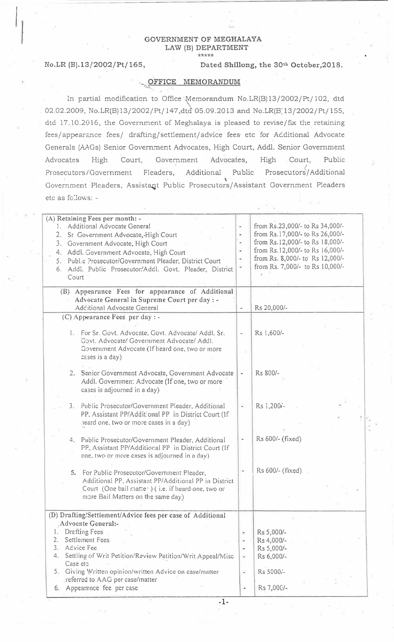## GOVERNMENT OF MEGHALAYA LAW (B) DEPARTMENT \*\*\*\*\*

 $\begin{array}{c} \hline \rule{0pt}{2ex} \\ \rule{0pt}{2ex} \end{array}$ 

No.LR (B).13/20Q2/Pt/ 165, Dated Shillong, the 30th October,2018.

## OFFICE MEMORANDUM

 $~,$ 

In partial modification to Office Memorandum No.LR(B) 13/2002/Pt/ 102, dtd 02.02.2009, No.LR(B)13/2002/Pt/147,dtd 05.09.2013 and No.LR(B)13/2002/Pt/155, dtd 17.10.2016, the Government of Meghalaya is pleased to revise/fix the retaining fees/appearance fees/ drafting/ settlement/ advice fees etc for Acditional Advocate Generals (AAGs) Senior Government Advocates, High Court, Addl. Senior Government Advocates High Court, Government Advocates, High Court, Public e<br>Prosecutors/Government Fleaders, Additional Public Prosecutors/Additional Government Pleaders, Assistant Public Prosecutors/Assistant Government Pleaders etc as follows: -

| (A) Retaining Fees per month: -<br>1. Additional Advocate General<br>2.<br>Sr Government Advocate, High Court<br>Government Advocate, High Court<br>3.<br>4. Addl. Government Advocate, High Court<br>5. Publ.c Prosecutor/Government Pleader; District Court<br>Addl. Public Prosecutor/Addl. Govt. Pleader, District<br>6.<br>Court '                 | ۰<br>$\blacksquare$<br>$\bullet$<br>$\overline{\mathcal{D}}$<br>$\frac{1}{2}$<br>$\blacksquare$ | from Rs.23,000/- to Rs 34,000/-<br>from Rs.17,000/- to Rs 26,000/-<br>from Rs.12,000/- to Rs 18,000/-<br>from Rs.12,000/- to Rs 16,000/-<br>from Rs. 8,000/- to Rs 12,000/-<br>from Rs. 7,000/- to Rs 10,000/- |
|---------------------------------------------------------------------------------------------------------------------------------------------------------------------------------------------------------------------------------------------------------------------------------------------------------------------------------------------------------|-------------------------------------------------------------------------------------------------|----------------------------------------------------------------------------------------------------------------------------------------------------------------------------------------------------------------|
| (B) Appearance Fees for appearance of Additional<br>Advocate General in Supreme Court per day : -<br>Additional Advocate General                                                                                                                                                                                                                        |                                                                                                 | Rs 20,000/-                                                                                                                                                                                                    |
| (C) Appearance Fees per day : -<br>1. For Sr. Govt. Advocate, Govt. Advocate/ Addl. Sr.<br>Gavt. Advocate/ Government Advocate/ Addl.<br>Government Advecate (If heard one, two or more<br>cases is a day)                                                                                                                                              | ۰,                                                                                              | Rs 1,600/-                                                                                                                                                                                                     |
| 2. Senior Government Advocate, Government Advocate<br>Addl. Governmen: Advocate (If one, two or more<br>cases is adjourned in a day)                                                                                                                                                                                                                    | $\overline{\phantom{a}}$                                                                        | Rs 800/-                                                                                                                                                                                                       |
| Public Prosecutor/Government Pleader, Additional<br>3.<br>PP, Assistant PP/Additional PP in District Court (If<br>heard one, two or more cases in a day)                                                                                                                                                                                                | ÷                                                                                               | Rs 1,200i-                                                                                                                                                                                                     |
| 4. Public Prosecutor/Government Pleader, Additional<br>PP, Assistant PP/Additional PP in District Court (If<br>one, two or more cases is adjourned in a day)                                                                                                                                                                                            |                                                                                                 | Rs 600/- (fixed)                                                                                                                                                                                               |
| 5. For Public Prosecutor/Government Pleader,<br>Additional PP, Assistant PP/Additional PP in District<br>Court (One bail matter) (i.e. if heard one, two or<br>more Bail Matters on the same day)                                                                                                                                                       |                                                                                                 | Rs 600/- (fixed)                                                                                                                                                                                               |
| (D) Drafting:Settlement/Advice fees per case of Additional<br>Advocate General:-<br>Drafting Fees<br>Settlement Fees<br>2.<br>3. Advice Fee<br>4. Settling of Writ Petition/Review Petition/Writ Appeal/Misc<br>Case et:<br>5. Giving Written opinion/written Advice on case/matter<br>referred to AAG per case/matter<br>Appearance fee per case<br>6. | $\ddot{}$<br>$\overline{\phantom{a}}$<br>$\omega$<br>$\overline{\phantom{a}}$<br>Ξ<br>٠         | Rs 5,000/-<br>Rs 4,000/-<br>Rs 5,000/-<br>Rs 6,000/-<br>Rs 5000/-<br>Rs 7,000/-                                                                                                                                |